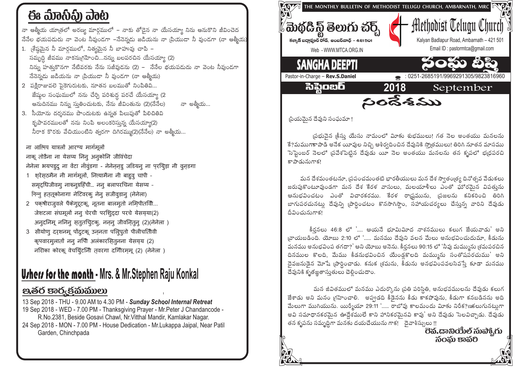# ఈ ಮಾನಿವಿ) ವಾಟ

నా ఆత్మీయ యాౖతలో అరణ్వ మార్గములో – నాకు తోడైన నా యేసయ్యా నిను ఆనుకొని జీవించెద ానేనేల భయపడుదు నా వెంట నీవుండగా –నేనెన్నడు జడియను నా సియుడా నీ వుండగా (నా ఆత్మీయ)

- 1. జ్రేష్ణమైన నీ మార్గములో, నిత్వమైన నీ బాహువు చాపి సమృది జీవము నాకన్నుగహించి...నన్ను బలపరచిన యేసయ్యా (2) నిన్ను హతుకొనగా నేటివరకు నేను సజీవుడను (2) – నేనేల భయపడుదు నా వెంట నీవుండగా నేనెన్నదు జడియను నా ¦పియుడా నీ వుండగా (నా ఆత్మీయ)
- 2 పక్షిరాజువలె పైకెగురుటకు, నూతన బలముతో నింపితివి... జేష్మల సంఘములో నను చేర్చి పరిశుద్ధ పరచే యేసయ్యా (2 ఆనుదినము నిన్ను సుతించుటకు, నేను జీవింతును (2)(నేనేల) నా అత్మీయ…
- 3. సీయోను దర్శనము పొందుటకు ఉన్నత పిలుఫుతో పిలిచితివి కృపావరములతో నను నింపి అలంకరిస్తున్న యేసయ్యా(2) నీరాక కొరకు వేచియుంటిని త్వరగా దిగిరమ్ము(2)(నేనేల) నా అత్మీయ...

ना आत्मिय यात्रलों आरण्य मार्गमूलों नाकु तोडैना ना येसय्य निन् अनुकोनि जीविंचेदा नेनेला भयपड्द ना वेंटा नीवुंडगा - नेनेननड जडियन् ना परयिड़ा नी वुनडगा

- 1 शरेसठमैन नी मार्गमूलों, नित्यामैना नी बाहुवु चापी -समृदुधिजीवम् नाकन्ग्रहिंची... नन् बलापरचिना येसय्य -निन्नु हत् तूकोनागा नेटिवरक् नेन् सजीवुडान् (नेनेला)
- 2 पकषीराजूवले पैकेगुरूटक, नूतना बालमूतो नमिपीतर्विो... जेशटला संघमूलों नन् चेरची परशि्ददा परचे येसय्या(2) अनुदनिमू ननिन् सतुतचिुटक्, ननन् जीवनितुन् (2)(नेनेला)
- 3 सीयोण् दरशनम् पोंदूटकू उननता पलिपुतो पीलीचर्तिोवी कृपवारमुलातों ननु नपिौ अलंकारसितुनना येसय्य (2) नरीिका कोरकू वेचयिंटनिौ तवरगा दगिीरम्मू (2) (नेनेला)

## **Urhers for the month** - Mrs. & Mr. Stephen Raju Konkal

### පූෂ්ර පාරුජකාකාలා

13 Sep 2018 - THU - 9.00 AM to 4.30 PM - Sunday School Internal Retreat 19 Sep 2018 - WED - 7.00 PM - Thanksgiving Prayer - Mr. Peter J Chandancode -R.No.2381, Beside Gosavi Chawl, Nr. Vitthal Mandir, Kamlakar Nagar. 24 Sep 2018 - MON - 7.00 PM - House Dedication - Mr. Lukappa Jaipal, Near Patil Garden, Chinchpada



(పియమైన దేవుని సంఘమా !

ప్రభువైన క్రీస్తు యేసు నామంలో విూకు శుభములు! గత నెల అంతయు మనలను కే?మముగాకాపాడి అనేక యీవుల నిచ్చి ఆశీర్వదించిన దేవునికి స్మోతములు! తిరిగి నూతన మాసము సెప్టెంబర్ నెలలో (పవేశపెట్టిన దేవుడు యీ నెల అంతయు మనలను తన కృపలో భ(ధపరచి కాపాడునుగాక!

మన దేశమంతటనూ, ప్రపంచమంతటి భారతీయులు మన దేశ స్వాతంత్ర్య దినోత్సవ వేడుకలు జరుపుకొంటూవుండగా మన దేశ కేరళ వాసులు, మలయాళీలు ఎంతో ఘోరమైన విపతును ఆనుభవించటం ఎంతో విచారకరము. కేరళ రాష్టమును, ప్రజలను కనికరించి తిరిగి బాగుపరచునటుౖ దేవున్ని (పార్ధించటం కొనసాగిస్తాం, సహాయచర్యలు చేసు్తన్న వారిని దేవుడు దీవించునుగాక్ట

 $\frac{2}{3}$ ర్వలు 46:8 లో '.... ఆయనే భూమిమీద నాశనములు కలుగ జేయవాడు' అని ్రవాయబడింది. యోబు 2:10 లో '..... మనము దేవుని వలన మేలు అనుభవించుదుమా, కీడును మనము అనుభవింప తగదా?' ఆని యోబు అనెను. కీర్తనలు 90:15 లో 'నీవు మమ్మును శ్రమపరచిన దినముల కొలది, మేము కీడనుభవించిన యేండ్రకొలది మమ్మును సంతోషపరచుము' అని దెవజనుడెన మోషే (పార్థించాడు. కనుక (శమను, కీడును అనభవింపవలసివస్తే కూడా మనము దేవునికి కృతజ్ఞతాస్తుతులు చెలించుదాం.

మన జీవితములో మనము ఎదుర్కొను (పతి పరిస్థితి, అనుభవములను దేవుడు కలుగ జేశాడు అని మనం గ్రహించాలి. అప్పడది కీడైనను కీడు కాకపోవును, కీడుగా కనబడినను అది మేలుగా ముగియును. యిర్మీయా 29:11 '..... రాబోవు కాలమందు విూకు నిరీక?ణకలుగునట్నుగా అవి సమాధానకరమైన ఊద్దేశములే కాని హానికరమైనవి కావు' అని దేవుడు సెలవిచ్చాడు. దేవుడు తన కృపను సమృద్ధిగా మనకు దయచేయును గాక! దైవాశీస్సులు !!

ටිති.ශාඩ්රෝංරි හාබ්රි,රා సంఘ కానం